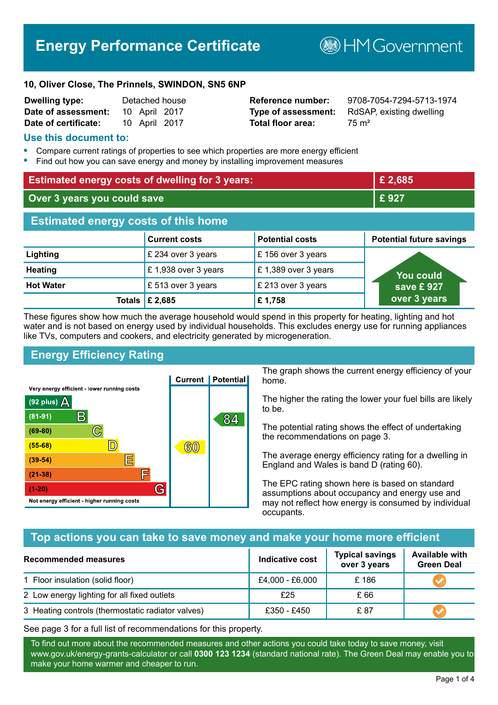# **Energy Performance Certificate**

**BHM Government** 

#### **10, Oliver Close, The Prinnels, SWINDON, SN5 6NP**

| <b>Dwelling type:</b> |               | Detached house |
|-----------------------|---------------|----------------|
| Date of assessment:   | 10 April 2017 |                |
| Date of certificate:  | 10 April 2017 |                |

# **Total floor area:** 75 m<sup>2</sup>

**Reference number:** 9708-7054-7294-5713-1974 **Type of assessment:** RdSAP, existing dwelling

# **Use this document to:**

- **•** Compare current ratings of properties to see which properties are more energy efficient
- **•** Find out how you can save energy and money by installing improvement measures

| <b>Estimated energy costs of dwelling for 3 years:</b> |                           | £2,685                 |                                 |
|--------------------------------------------------------|---------------------------|------------------------|---------------------------------|
| Over 3 years you could save                            |                           | £927                   |                                 |
| <b>Estimated energy costs of this home</b>             |                           |                        |                                 |
|                                                        | <b>Current costs</b>      | <b>Potential costs</b> | <b>Potential future savings</b> |
| Lighting                                               | £ 234 over 3 years        | £156 over 3 years      |                                 |
| <b>Heating</b>                                         | £1,938 over 3 years       | £1,389 over 3 years    | <b>You could</b>                |
| <b>Hot Water</b>                                       | £ 513 over 3 years        | £ 213 over 3 years     | save £927                       |
|                                                        | Totals $\mathsf{E}$ 2,685 | £1,758                 | over 3 years                    |

These figures show how much the average household would spend in this property for heating, lighting and hot water and is not based on energy used by individual households. This excludes energy use for running appliances like TVs, computers and cookers, and electricity generated by microgeneration.

# **Energy Efficiency Rating**



The graph shows the current energy efficiency of your home.

The higher the rating the lower your fuel bills are likely to be.

The potential rating shows the effect of undertaking the recommendations on page 3.

The average energy efficiency rating for a dwelling in England and Wales is band D (rating 60).

The EPC rating shown here is based on standard assumptions about occupancy and energy use and may not reflect how energy is consumed by individual occupants.

# **Top actions you can take to save money and make your home more efficient**

| Recommended measures                              | Indicative cost | <b>Typical savings</b><br>over 3 years | <b>Available with</b><br><b>Green Deal</b> |
|---------------------------------------------------|-----------------|----------------------------------------|--------------------------------------------|
| 1 Floor insulation (solid floor)                  | £4,000 - £6,000 | £186                                   |                                            |
| 2 Low energy lighting for all fixed outlets       | £25             | £ 66                                   |                                            |
| 3 Heating controls (thermostatic radiator valves) | £350 - £450     | £ 87                                   |                                            |

See page 3 for a full list of recommendations for this property.

To find out more about the recommended measures and other actions you could take today to save money, visit www.gov.uk/energy-grants-calculator or call **0300 123 1234** (standard national rate). The Green Deal may enable you to make your home warmer and cheaper to run.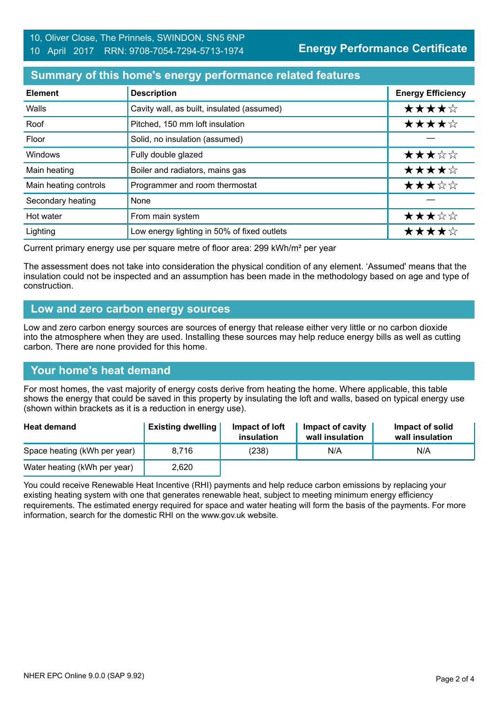# **Summary of this home's energy performance related features**

| <b>Element</b>        | <b>Description</b>                          | <b>Energy Efficiency</b> |
|-----------------------|---------------------------------------------|--------------------------|
| Walls                 | Cavity wall, as built, insulated (assumed)  | ★★★★☆                    |
| Roof                  | Pitched, 150 mm loft insulation             | ★★★★☆                    |
| Floor                 | Solid, no insulation (assumed)              |                          |
| Windows               | Fully double glazed                         | ★★★☆☆                    |
| Main heating          | Boiler and radiators, mains gas             | ★★★★☆                    |
| Main heating controls | Programmer and room thermostat              | ★★★☆☆                    |
| Secondary heating     | None                                        |                          |
| Hot water             | From main system                            | ★★★☆☆                    |
| Lighting              | Low energy lighting in 50% of fixed outlets | ★★★★☆                    |

Current primary energy use per square metre of floor area: 299 kWh/m² per year

The assessment does not take into consideration the physical condition of any element. 'Assumed' means that the insulation could not be inspected and an assumption has been made in the methodology based on age and type of construction.

#### **Low and zero carbon energy sources**

Low and zero carbon energy sources are sources of energy that release either very little or no carbon dioxide into the atmosphere when they are used. Installing these sources may help reduce energy bills as well as cutting carbon. There are none provided for this home.

# **Your home's heat demand**

For most homes, the vast majority of energy costs derive from heating the home. Where applicable, this table shows the energy that could be saved in this property by insulating the loft and walls, based on typical energy use (shown within brackets as it is a reduction in energy use).

| <b>Heat demand</b>           | <b>Existing dwelling</b> | Impact of loft<br>insulation | <b>Impact of cavity</b><br>wall insulation | Impact of solid<br>wall insulation |
|------------------------------|--------------------------|------------------------------|--------------------------------------------|------------------------------------|
| Space heating (kWh per year) | 8.716                    | (238)                        | N/A                                        | N/A                                |
| Water heating (kWh per year) | 2,620                    |                              |                                            |                                    |

You could receive Renewable Heat Incentive (RHI) payments and help reduce carbon emissions by replacing your existing heating system with one that generates renewable heat, subject to meeting minimum energy efficiency requirements. The estimated energy required for space and water heating will form the basis of the payments. For more information, search for the domestic RHI on the www.gov.uk website.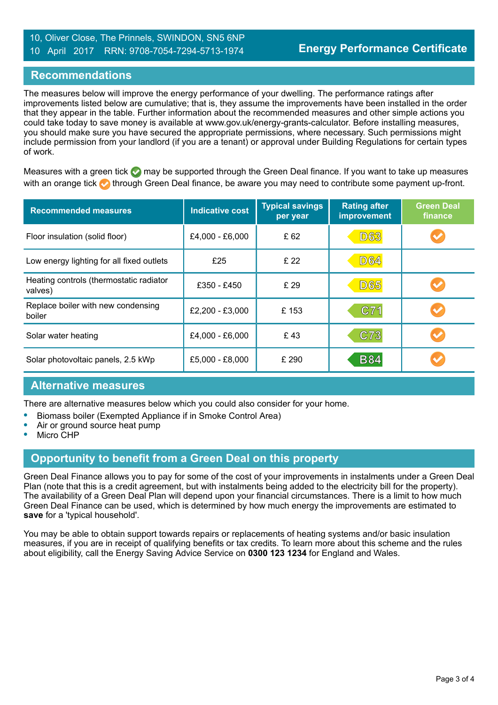# 10, Oliver Close, The Prinnels, SWINDON, SN5 6NP 10 April 2017 RRN: 9708-7054-7294-5713-1974

# **Recommendations**

The measures below will improve the energy performance of your dwelling. The performance ratings after improvements listed below are cumulative; that is, they assume the improvements have been installed in the order that they appear in the table. Further information about the recommended measures and other simple actions you could take today to save money is available at www.gov.uk/energy-grants-calculator. Before installing measures, you should make sure you have secured the appropriate permissions, where necessary. Such permissions might include permission from your landlord (if you are a tenant) or approval under Building Regulations for certain types of work.

Measures with a green tick  $\bullet$  may be supported through the Green Deal finance. If you want to take up measures with an orange tick **th** through Green Deal finance, be aware you may need to contribute some payment up-front.

| <b>Recommended measures</b>                        | <b>Indicative cost</b> | <b>Typical savings</b><br>per year | <b>Rating after</b><br><b>improvement</b> | <b>Green Deal</b><br>finance |
|----------------------------------------------------|------------------------|------------------------------------|-------------------------------------------|------------------------------|
| Floor insulation (solid floor)                     | £4,000 - £6,000        | £ 62                               | <b>D63</b>                                |                              |
| Low energy lighting for all fixed outlets          | £25                    | £ 22                               | <b>D64</b>                                |                              |
| Heating controls (thermostatic radiator<br>valves) | £350 - £450            | £ 29                               | <b>D65</b>                                |                              |
| Replace boiler with new condensing<br>boiler       | £2,200 - £3,000        | £153                               | C71                                       | $\blacktriangledown$         |
| Solar water heating                                | £4,000 - £6,000        | £43                                | C73                                       |                              |
| Solar photovoltaic panels, 2.5 kWp                 | £5,000 - £8,000        | £ 290                              | <b>B84</b>                                |                              |

#### **Alternative measures**

There are alternative measures below which you could also consider for your home.

- **•** Biomass boiler (Exempted Appliance if in Smoke Control Area)
- **•** Air or ground source heat pump
- **•** Micro CHP

# **Opportunity to benefit from a Green Deal on this property**

Green Deal Finance allows you to pay for some of the cost of your improvements in instalments under a Green Deal Plan (note that this is a credit agreement, but with instalments being added to the electricity bill for the property). The availability of a Green Deal Plan will depend upon your financial circumstances. There is a limit to how much Green Deal Finance can be used, which is determined by how much energy the improvements are estimated to **save** for a 'typical household'.

You may be able to obtain support towards repairs or replacements of heating systems and/or basic insulation measures, if you are in receipt of qualifying benefits or tax credits. To learn more about this scheme and the rules about eligibility, call the Energy Saving Advice Service on **0300 123 1234** for England and Wales.